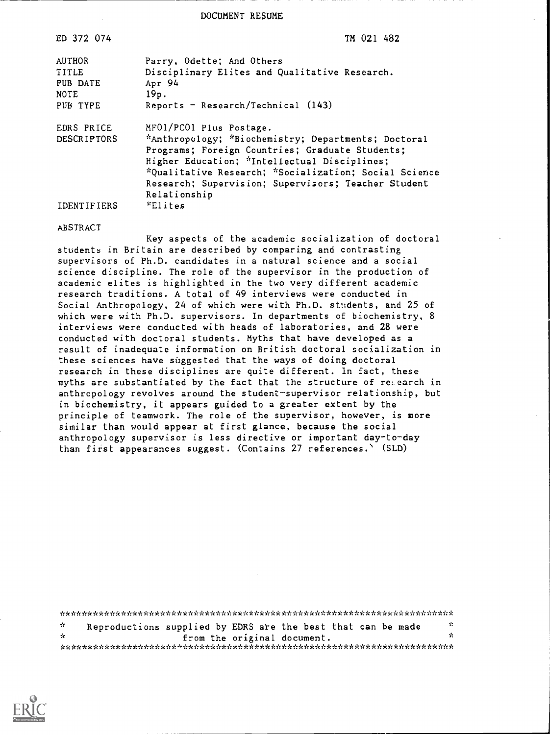DOCUMENT RESUME

| ED 372 074                                                    | TM 021 482                                                                                                                                                                                                                                                                                                        |
|---------------------------------------------------------------|-------------------------------------------------------------------------------------------------------------------------------------------------------------------------------------------------------------------------------------------------------------------------------------------------------------------|
| <b>AUTHOR</b><br>TITLE<br>PUB DATE<br><b>NOTE</b><br>PUB TYPE | Parry, Odette; And Others<br>Disciplinary Elites and Qualitative Research.<br>Apr 94<br>19p.<br>Reports - Research/Technical $(143)$                                                                                                                                                                              |
| EDRS PRICE<br><b>DESCRIPTORS</b>                              | MF01/PC01 Plus Postage.<br>*Anthropology; *Biochemistry; Departments; Doctoral<br>Programs; Foreign Countries; Graduate Students;<br>Higher Education; *Intellectual Disciplines;<br>*Qualitative Research; *Socialization; Social Science<br>Research; Supervision; Supervisors; Teacher Student<br>Relationship |
| <b>IDENTIFIERS</b>                                            | <i><b>*Elites</b></i>                                                                                                                                                                                                                                                                                             |

#### ABSTRACT

Key aspects of the academic socialization of doctoral students in Britain are described by comparing and contrasting supervisors of Ph.D. candidates in a natural science and a social science discipline. The role of the supervisor in the production of academic elites is highlighted in the two very different academic research traditions. A total of 49 interviews were conducted in Social Anthropology, 24 of which were with Ph.D. students, and 25 of which were with Ph.D. supervisors. In departments of biochemistry, 8 interviews were conducted with heads of laboratories, and 28 were conducted with doctoral students. Myths that have developed as a result of inadequate information on British doctoral socialization in these sciences have suggested that the ways of doing doctoral research in these disciplines are quite different. In fact, these myths are substantiated by the fact that the structure of reLearch in anthropology revolves around the student-supervisor relationship, but in biochemistry, it appears guided to a greater extent by the principle of teamwork. The role of the supervisor, however, is more similar than would appear at first glance, because the social anthropology supervisor is less directive or important day-to-day than first appearances suggest. (Contains 27 references.\ (SLD)

| $\mathcal{R}$ | Reproductions supplied by EDRS are the best that can be made |  |                             |  |  | -10 |
|---------------|--------------------------------------------------------------|--|-----------------------------|--|--|-----|
| - St          |                                                              |  | from the original document. |  |  | ž.  |
|               |                                                              |  |                             |  |  |     |

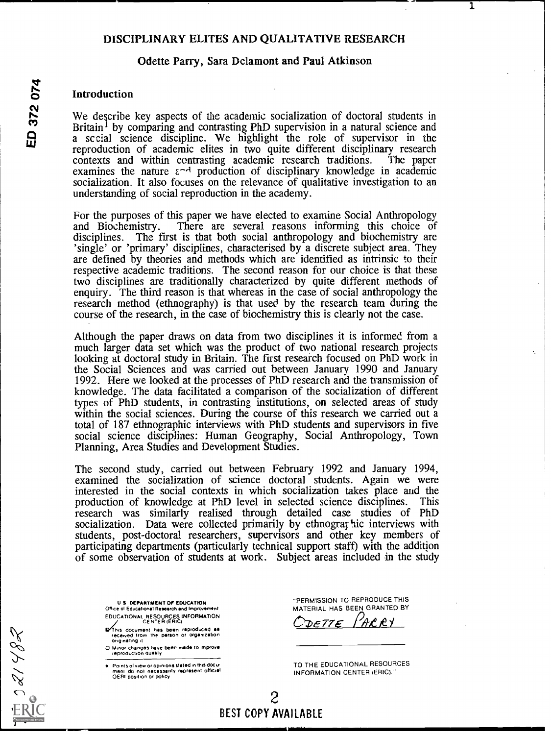## DISCIPLINARY ELITES AND QUALITATIVE RESEARCH

1

## Odette Parry, Sara Delamont and Paul Atkinson

o Introduction We describe key aspects of the academic socialization of doctoral students in Britain<sup>1</sup> by comparing and contrasting PhD supervision in a natural science and a sccial science discipline. We highlight the role of supervisor in the reproduction of academic elites in two quite different disciplinary research contexts and within contrasting academic research traditions. The paper contexts and within contrasting academic research traditions. examines the nature  $\varepsilon^{-1}$  production of disciplinary knowledge in academic socialization. It also foeuses on the relevance of qualitative investigation to an understanding of social reproduction in the academy.

> For the purposes of this paper we have elected to examine Social Anthropology and Biochemistry. There are several reasons informing this choice of disciplines. The first is that both social anthropology and biochemistry are 'single' or 'primary' disciplines, characterised by a discrete subject area. They are defined by theories and methods which are identified as intrinsic to their respective academic traditions. The second reason for our choice is that these two disciplines are traditionally characterized by quite different methods of enquiry. The third reason is that whereas in the case of social anthropology the research method (ethnography) is that used by the research team during the course of the research, in the case of biochemistry this is clearly not the case.

Although the paper draws on data from two disciplines it is informed from a much larger data set which was the product of two national research projects looking at doctoral study in Britain. The first research focused on PhD work in the Social Sciences and was carried out between January 1990 and January 1992. Here we looked at the processes of PhD research and the transmission of knowledge. The data facilitated a comparison of the socialization of different types of PhD students, in contrasting institutions, on selected areas of study within the social sciences. During the course of this research we carried out a total of 187 ethnographic interviews with PhD students and supervisors in five social science disciplines: Human Geography, Social Anthropology, Town Planning, Area Studies and Development Studies.

The second study, carried out between February 1992 and January 1994, examined the socialization of science doctoral students. Again we were interested in the social contexts in which socialization takes place and the production of knowledge at PhD level in selected science disciplines. This research was similarly realised through detailed case studies of PhD socialization. Data were collected primarily by ethnographic interviews with students, post-doctoral researchers, supervisors and other key members of participating departments (particularly technical support staff) with the addition of some observation of students at work. Subject areas included in the study

U S DEPARTMENT OF EDUCATION Office of Educational Research and Improvement EDUCATIONAL RESOURCES INFORMATION CENTER (ERIC)

**maths document has been reproduced as<br>received from the person or organization**<br>originating it

O Minor changes have been made to improve<br>- reproduction quality

**.** Points of view or opinions stated in this docu ment do not necessarity raprasent official.<br>OERI position or poticy "PERMISSION TO REPRODUCE THIS MATERIAL HAS BEEN GRANTED BY DETTE PARRY

TO THE EDUCATIONAL RESOURCES INFORMATION CENTER (ERIC)."

E 021482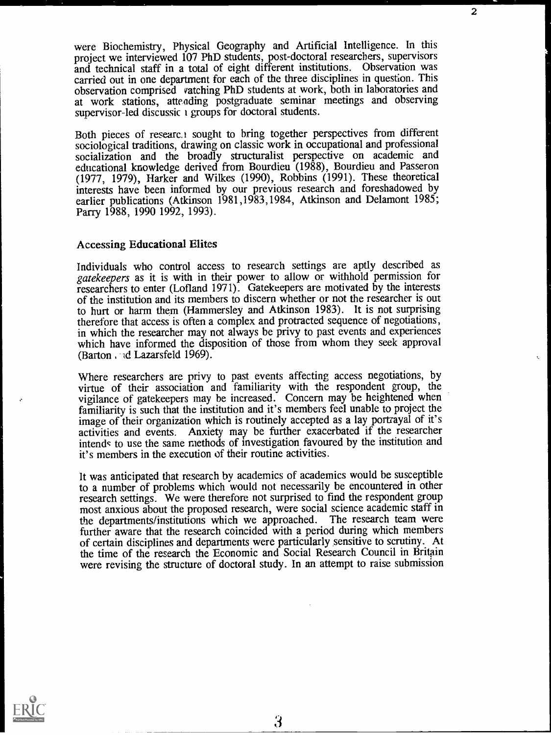were Biochemistry, Physical Geography and Artificial Intelligence. In this project we interviewed 107 PhD students, post-doctoral researchers, supervisors and technical staff in a total of eight different institutions. Observation was carried out in one department for each of the three disciplines in question. This observation comprised vatching PhD students at work, both in laboratories and at work stations, attending postgraduate seminar meetings and observing supervisor-led discussic i groups for doctoral students.

2

 $\epsilon_{\rm c}$ 

Both pieces of researc.<sup>1</sup> sought to bring together perspectives from different sociological traditions, drawing on classic work in occupational and professional socialization and the broadly structuralist perspective on academic and educational knowledge derived from Bourdieu (1988), Bourdieu and Passeron (1977, 1979), Harker and Wilkes (1990), Robbins (1991). These theoretical interests have been informed by our previous research and foreshadowed by earlier publications (Atkinson 1981,1983,1984, Atkinson and Delamont 1985; Parry 1988, 1990 1992, 1993).

## Accessing Educational Elites

Individuals who control access to research settings are aptly described as gatekeepers as it is with in their power to allow or withhold permission for researchers to enter (Lofland 1971). Gatekeepers are motivated by the interests of the institution and its members to discern whether or not the researcher is out to hurt or harm them (Hammersley and Atkinson 1983). It is not surprising therefore that access is often a complex and protracted sequence of negotiations, in which the researcher may not always be privy to past events and experiences which have informed the disposition of those from whom they seek approval (Barton . ad Lazarsfeld 1969).

Where researchers are privy to past events affecting access negotiations, by virtue of their association and familiarity with the respondent group, the vigilance of gatekeepers may be increased. Concern may be heightened when familiarity is such that the institution and it's members feel unable to project the image of their organization which is routinely accepted as a lay portrayal of it's activities and events. Anxiety may be further exacerbated if the researcher intendc to use the same methods of investigation favoured by the institution and it's members in the execution of their routine activities.

It was anticipated that research by academics of academics would be susceptible to a number of problems which would not necessarily be encountered in other research settings. We were therefore not surprised to find the respondent group most anxious about the proposed research, were social science academic staff in the departments/institutions which we approached. The research team were further aware that the research coincided with a period during which members of certain disciplines and departments were particularly sensitive to scrutiny. At the time of the research the Economic and Social Research Council in Britain were revising the structure of doctoral study. In an attempt to raise submission

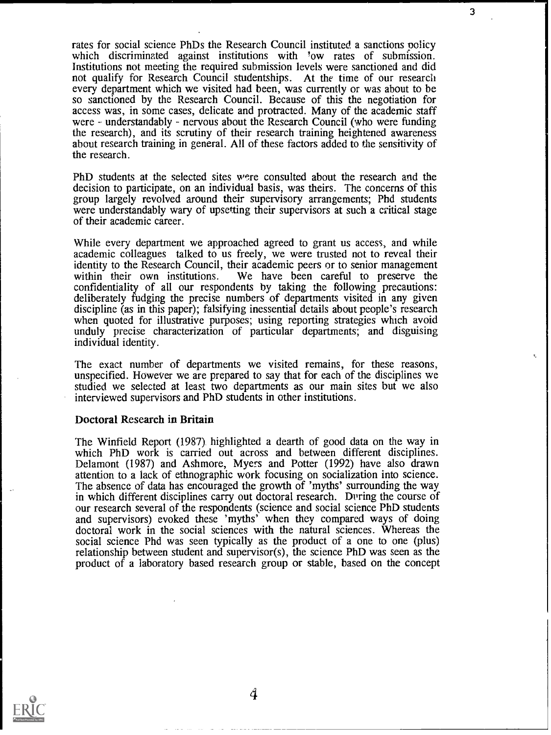rates for social science PhDs the Research Council instituted a sanctions policy which discriminated against institutions with 'ow rates of submission. Institutions not meeting the required submission levels were sanctioned and did not qualify for Research Council studentships. At the time of our research every department which we visited had been, was currently or was about to be so sanctioned by the Research Council. Because of this the negotiation for access was, in some cases, delicate and protracted. Many of the academic staff were  $\sim$  understandably  $\sim$  nervous about the Research Council (who were funding the research), and its scrutiny of their research training heightened awareness about research training in general. All of these factors added to the sensitivity of the research.

PhD students at the selected sites were consulted about the research and the decision to participate, on an individual basis, was theirs. The concerns of this group largely revolved around their supervisory arrangements; Phd students were understandably wary of upsetting their supervisors at such a critical stage of their academic career.

While every department we approached agreed to grant us access, and while academic colleagues talked to us freely, we were trusted not to reveal their identity to the Research Council, their academic peers or to senior management within their own institutions. We have been careful to preserve the confidentiality of all our respondents by taking the following precautions: deliberately fudging the precise numbers of departments visited in any given discipline (as in this paper); falsifying inessential details about people's research unduly precise characterization of particular departments; and disguising individual identity.

The exact number of departments we visited remains, for these reasons, unspecified. However we are prepared to say that for each of the disciplines we studied we selected at least two departments as our main sites but we also interviewed supervisors and PhD students in other institutions.

#### Doctoral Research in Britain

The Winfield Report (1987) highlighted a dearth of good data on the way in which PhD work is carried out across and between different disciplines. Delamont (1987) and Ashmore, Myers and Potter (1992) have also drawn attention to a lack of ethnographic work focusing on socialization into science. The absence of data has encouraged the growth of 'myths' surrounding the way in which different disciplines carry out doctoral research. During the course of our research several of the respondents (science and social science PhD students and supervisors) evoked these 'myths' when they compared ways of doing doctoral work in the social sciences with the natural sciences. Whereas the social science Phd was seen typically as the product of a one to one (plus) relationship between student and supervisor(s), the science PhD was seen as the product of a laboratory based research group or stable, based on the concept



3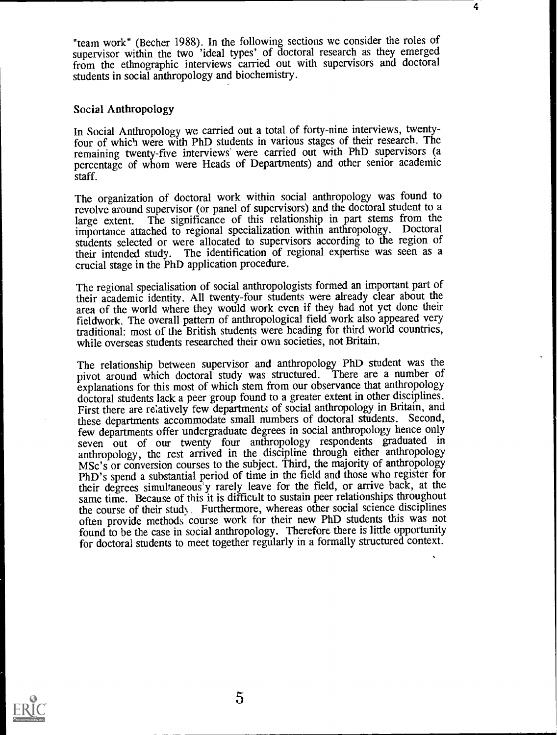"team work" (Becher 1988). In the following sections we consider the roles of supervisor within the two 'ideal types' of doctoral research as they emerged from the ethnographic interviews carried out with supervisors and doctoral students in social anthropology and biochemistry.

4

## Social Anthropology

In Social Anthropology we carried out a total of forty-nine interviews, twentyfour of which were with PhD students in various stages of their research. The remaining twenty-five interviews were carried out with PhD supervisors (a percentage of whom were Heads of Departments) and other senior academic staff.

The organization of doctoral work within social anthropology was found to revolve around supervisor (or panel of supervisors) and the doctoral student to a large extent. The significance of this relationship in part stems from the importance attached to regional specialization within anthropology. Doctoral students selected or were allocated to supervisors according to the region of their intended study. The identification of regional expertise was seen as a crucial stage in the PhD application procedure.

The regional specialisation of social anthropologists formed an important part of their academic identity. All twenty-four students were already clear about the area of the world where they would work even if they had not yet done their fieldwork. The overall pattern of anthropological field work also appeared very traditional: most of the British students were heading for third world countries, while overseas students researched their own societies, not Britain.

The relationship between supervisor and anthropology PhD student was the pivot around which doctoral study was structured. There are a number of explanations for this most of which stem from our observance that anthropology doctoral students lack a peer group found to a greater extent in other disciplines. First there are relatively few departments of social anthropology in Britain, and these departments accommodate small numbers of doctoral students. Second, few departments offer undergraduate degrees in social anthropology hence only seven out of our twenty four anthropology respondents graduated in anthropology, the rest arrived in the discipline through either anthropology MSc's or conversion courses to the subject. Third, the majority of anthropology PhD's spend a substantial period of time in the field and those who register for their degrees simultaneous'y rarely leave for the field, or arrive back, at the same time. Because of this it is difficult to sustain peer relationships throughout the course of their stud, Furthermore, whereas other social science disciplines often provide methods course work for their new PhD students this was not found to be the case in social anthropology. Therefore there is little opportunity for doctoral students to meet together regularly in a formally structured context.

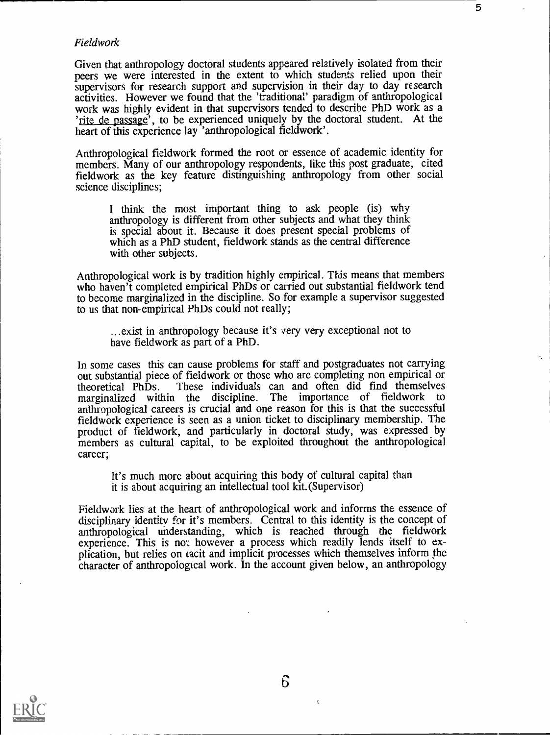## Fieldwork

Given that anthropology doctoral students appeared relatively isolated from their peers we were interested in the extent to which students relied upon their supervisors for research support and supervision in their day to day research activities. However we found that the 'traditional' paradigm of anthropological work was highly evident in that supervisors tended to describe PhD work as a 'rite de passage', to be experienced uniquely by the doctoral student. At the heart of this experience lay 'anthropological fieldwork'.

5

 $t_{\rm s}$ 

Anthropological fieldwork formed the root or essence of academic identity for members. Many of our anthropology respondents, like this post graduate, cited fieldwork as the key feature distinguishing anthropology from other social science disciplines;

<sup>I</sup> think the most important thing to ask people (is) why anthropology is different from other subjects and what they think is special about it. Because it does present special problems of which as a PhD student, fieldwork stands as the central difference with other subjects.

Anthropological work is by tradition highly empirical. This means that members who haven't completed empirical PhDs or carried out substantial fieldwork tend to become marghialized in the discipline. So for example a supervisor suggested to us that non-empirical PhDs could not really;

...exist in anthropology because it's very very exceptional not to have fieldwork as part of a PhD.

In some cases this can cause problems for staff and postgraduates not carrying out substantial piece of fieldwork or those who are completing non empirical or theoretical PhDs. These individuals can and often did find themselves These individuals can and often did find themselves marginalized within the discipline. The importance of fieldwork to anthropological careers is crucial and one reason for this is that the successful fieldwork experience is seen as a union ticket to disciplinary membership. The product of fieldwork, and particularly in doctoral study, was expressed by members as cultural capital, to be exploited throughout the anthropological career;

It's much more about acquiring this body of cultural capital than it is about acquiring an intellectual tool kit. (Supervisor)

Fieldwork lies at the heart of anthropological work and informs the essence of disciplinary identity for it's members. Central to this identity is the concept of anthropological understanding, which is reached through the fieldwork experience. This is not however a process which readily lends itself to explication, but relies on tacit and implicit processes which themselves inform the character of anthropological work. In the account given below, an anthropology



 $\overline{\mathbf{A}}$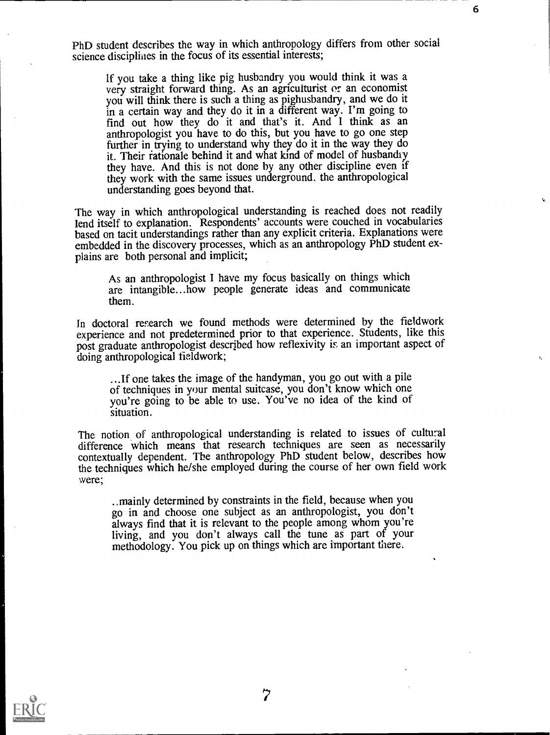PhD student describes the way in which anthropology differs from other social science disciplines in the focus of its essential interests;

6

If you take a thing like pig husbandry you would think it was a very straight forward thing. As an agriculturist or an economist you will think there is such a thing as pighusbandry, and we do it in a certain way and they do it in a different way. I'm going to find out how they do it and that's it. And I think as an anthropologist you have to do this, but you have to go one step further in trying to understand why they do it in the way they do it. Their rationale behind it and what kind of model of husbandiy they have. And this is not done by any other discipline even if they work with the same issues underground. the anthropological understanding goes beyond that.

The way in which anthropological understanding is reached does not readily lend itself to explanation. Respondents' accounts were couched in vocabularies based on tacit understandings rather than any explicit criteria. Explanations were embedded in the discovery processes, which as an anthropology PhD student explains are both personal and implicit;

As an anthropologist I have my focus basically on things which are intangible...how people generate ideas and communicate them.

In doctoral research we found methods were determined by the fieldwork experience and not predetermined prior to that experience. Students, like this post graduate anthropologist described how reflexivity is an important aspect of doing anthropological fieldwork;

...If one takes the image of the handyman, you go out with a pile of techniques in your mental suitcase, you don't know which one you're going to be able to use. You've no idea of the kind of situation.

The notion of anthropological understanding is related to issues of cultural difference which means that research techniques are seen as necessarily contextually dependent. The anthropology PhD student below, describes how the techniques which he/she employed during the course of her own field work were;

..mainly determined by constraints in the field, because when you go in and choose one subject as an anthropologist, you don't always find that it is relevant to the people among whom you're living, and you don't always call the tune as part of your methodology. You pick up on things which are important there.

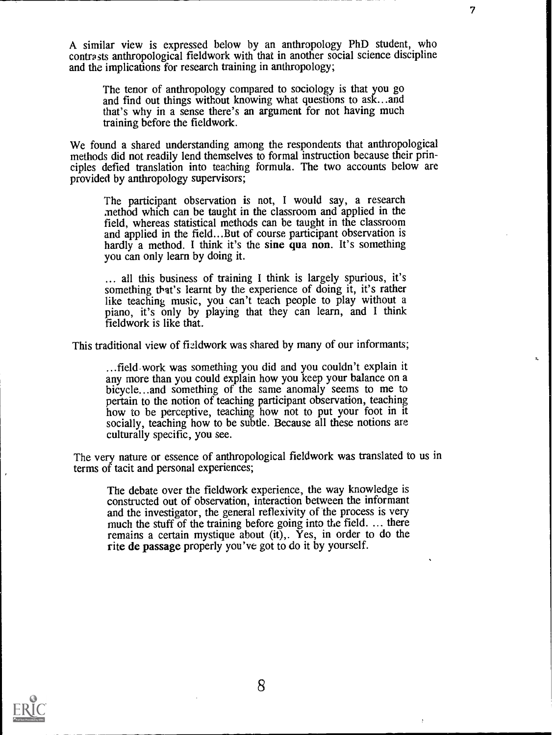A similar view is expressed below by an anthropology PhD student, who contrasts anthropological fieldwork with that in another social science discipline and the implications for research training in anthropology;

7

The tenor of anthropology compared to sociology is that you go and find out things without knowing what questions to ask...and that's why in a sense there's an argument for not having much training before the fieldwork.

We found a shared understanding among the respondents that anthropological methods did not readily lend themselves to formal instruction because their principles defied translation into teaching formula. The two accounts below are provided by anthropology supervisors;

The participant observation is not, I would say, a research method which can be taught in the classroom and applied in the field, whereas statistical methods can be taught in the classroom and applied in the field...But of course participant observation is hardly a method. I think it's the sine qua non. It's something you can only learn by doing it.

... all this business of training I think is largely spurious, it's something that's learnt by the experience of doing it, it's rather like teaching music, you can't teach people to play without a piano, it's only by playing that they can learn, and I think fieldwork is like that.

This traditional view of fizIdwork was shared by many of our informants;

...field-work was something you did and you couldn't explain it any more than you could explain how you keep your balance on a bicycle...and something of the same anomaly seems to me to pertain to the notion of teaching participant observation, teaching how to be perceptive, teaching how not to put your foot in it socially, teaching how to be subtle. Because all these notions are culturally specific, you see.

The very nature or essence of anthropological fieldwork was translated to us in terms of tacit and personal experiences;

The debate over the fieldwork experience, the way knowledge is constructed out of observation, interaction between the informant and the investigator, the general reflexivity of the process is very much the stuff of the training before going into the field. ... there remains a certain mystique about (it),. Yes, in order to do the rite de passage properly you've got to do it by yourself.

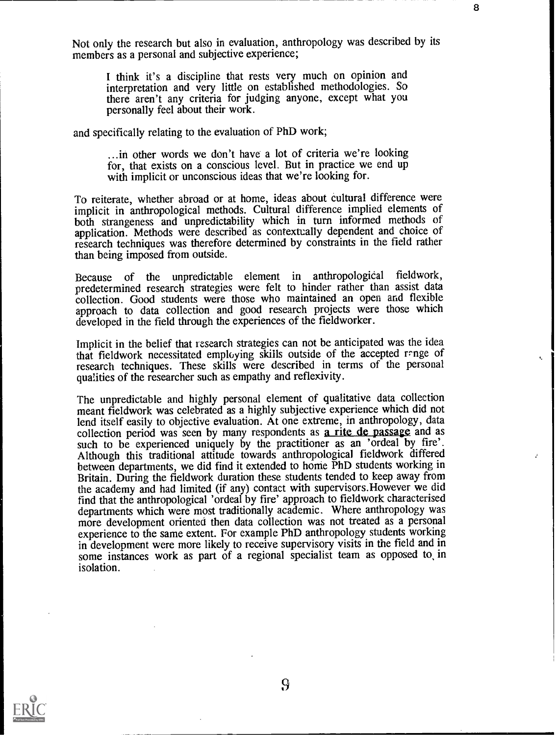Not only the research but also in evaluation, anthropology was described by its members as a personal and subjective experience;

I think it's a discipline that rests very much on opinion and interpretation and very little on established methodologies. So there aren't any criteria for judging anyone, except what you personally feel about their work.

and specifically relating to the evaluation of PhD work;

...in other words we don't have a lot of criteria we're looking for, that exists on a conscious level. But in practice we end up with implicit or unconscious ideas that we're looking for.

To reiterate, whether abroad or at home, ideas about cultural difference were both strangeness and unpredictability which in turn informed methods of application. Methods were described as contextually dependent and choice of research techniques was therefore determined by constraints in the field rather than being imposed from outside.

Because of the unpredictable element in anthropological fieldwork, predetermined research strategies were felt to hinder rather than assist data collection. Good students were those who maintained an open and flexible approach to data collection and good research projects were those which developed in the field through the experiences of the fieldworker.

Implicit in the belief that research strategies can not be anticipated was the idea that fieldwork necessitated employing skills outside of the accepted range of research techniques. These skills were described in terms of the personal qualities of the researcher such as empathy and reflexivity.

The unpredictable and highly personal element of qualitative data collection meant fieldwork was celebrated as a highly subjective experience which did not lend itself easily to objective evaluation. At one extreme, in anthropology, data collection period was seen by many respondents as a rite de passage and as such to be experienced uniquely by the practitioner as an 'ordeal by fire'. Although this traditional attitude towards anthropological fieldwork differed between departments, we did find it extended to home PhD students working in Britain. During the fieldwork duration these students tended to keep away from the academy and had limited (if any) contact with supervisors.However we did find that the anthropological 'ordeal by fire' approach to fieldwork characterised departments which were most traditionally academic. Where anthropology was more development oriented then data collection was not treated as a personal experience to the same extent. For example PhD anthropology students working in development were more likely to receive supervisory visits in the field and in some instances work as part of a regional specialist team as opposed to, in isolation.



9

÷.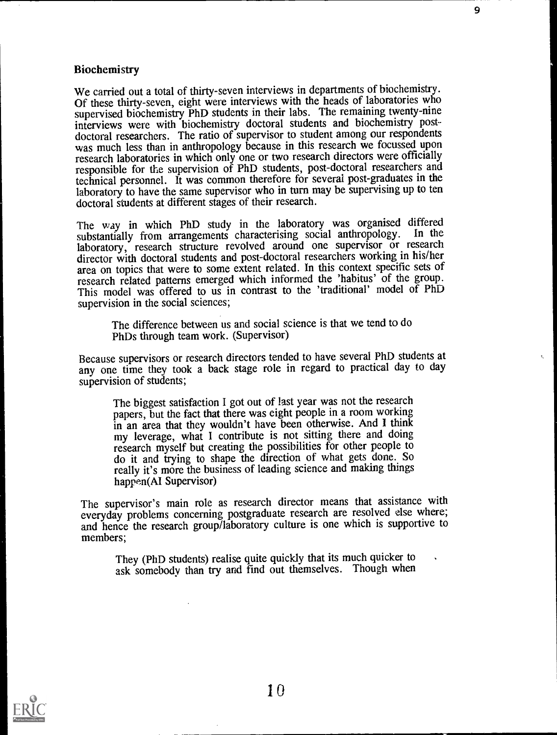## Biochemistry

We carried out a total of thirty-seven interviews in departments of biochemistry. Of these thirty-seven, eight were interviews with the heads of laboratories who supervised biochemistry PhD students in their labs. The remaining twenty-nine interviews were with biochemistry doctoral students and biochemistry postdoctoral researchers. The ratio of supervisor to student among our respondents was much less than in anthropology because in this research we focussed upon research laboratories in which only one or two research directors were officially responsible for the supervision of PhD students, post-doctoral researchers and technical personnel. It was common therefore for several post-graduates in the laboratory to have the same supervisor who in turn may be supervising up to ten doctoral students at different stages of their research.

9

The way in which PhD study in the laboratory was organised differed<br>substantially from arrangements characterising social anthropology. In the substantially from arrangements characterising social anthropology. laboratory, research structure revolved around one supervisor or research director with doctoral students and post-doctoral researchers working in his/her area on topics that were to some extent related. In this context specific sets of research related patterns emerged which informed the 'habitus' of the group. This model was offered to us in contrast to the 'traditional' model of PhD supervision in the social sciences;

The difference between us and social science is that we tend to do PhDs through team work. (Supervisor)

Because supervisors or research directors tended to have several PhD students at any one time they took a back stage role in regard to practical day to day supervision of students;

The biggest satisfaction I got out of last year was not the research papers, but the fact that there was eight people in a room working in an area that they wouldn't have been otherwise. And I think my leverage, what I contribute is not sitting there and doing research myself but creating the possibilities for other people to do it and trying to shape the direction of what gets done. So really it's more the business of leading science and making things happen(AI Supervisor)

The supervisor's main role as research director means that assistance with everyday problems concerning postgraduate research are resolved else where; and hence the research group/laboratory culture is one which is supportive to members;

They (PhD students) realise quite quickly that its much quicker to ask somebody than try and find out themselves. Though when

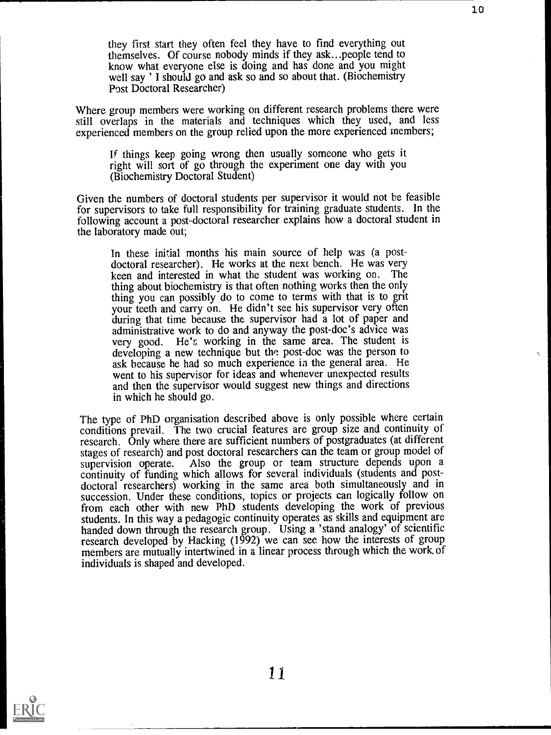they first start they often feel they have to find everything out themselves. Of course nobody minds if they ask...people tend to know what everyone else is doing and has done and you might well say ' I should go and ask so and so about that. (Biochemistry Post Doctoral Researcher)

Where group members were working on different research problems there were still overlaps in the materials and techniques which they used, and less experienced members on the group relied upon the more experienced members;

If things keep going wrong then usually someone who gets it right will sort of go through the experiment one day with you (Biochemistry Doctoral Student)

Given the numbers of doctoral students per supervisor it would not be feasible for supervisors to take full responsibility for training graduate students. In the following account a post-doctoral researcher explains how a doctoral student in the laboratory made out;

In these initial months his main source of help was (a postdoctoral researcher). He works at the next bench. He was very keen and interested in what the student was working on. The thing about biochemistry is that often nothing works then the only thing you can possibly do to come to terms with that is to grit your teeth and carry on. He didn't see his supervisor very often during that time because the supervisor had a lot of paper and administrative work to do and anyway the post-doc's advice was very good. He's working in the same area. The student is developing a new technique but the post-doc was the person to ask because he had so much experience in the general area. He went to his supervisor for ideas and whenever unexpected results and then the supervisor would suggest new things and directions in which he should go.

The type of PhD organisation described above is only possible where certain conditions prevail. The two crucial features are group size and continuity of research. Only where there are sufficient numbers of postgraduates (at different stages of research) and post doctoral researchers can the team or group model of supervision operate. Also the group or team structure depends upon a Also the group or team structure depends upon a continuity of funding which allows for several individuals (students and postdoctoral researchers) working in the same area both simultaneously and in succession. Under these conditions, topics or projects can logically follow on from each other with new PhD students developing the work of previous students. In this way a pedagogic continuity operates as skills and equipment are handed down through the research group. Using a 'stand analogy' of scientific research developed by Hacking (1992) we can see how the interests of group members are mutually intertwined in a linear process through which the work of individuals is shaped and developed.

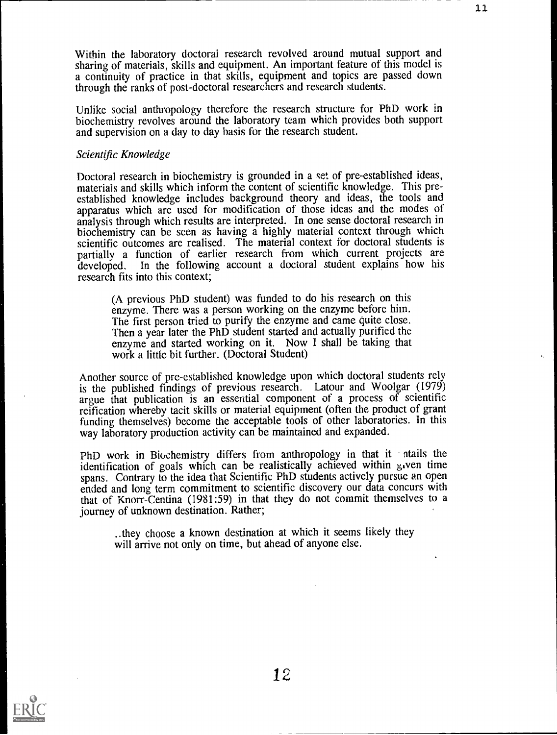Within the laboratory doctoral research revolved around mutual support and sharing of materials, skills and equipment. An important feature of this model is a continuity of practice in that skills, equipment and topics are passed down through the ranks of post-doctoral researchers and research students.

11

Unlike social anthropology therefore the research structure for PhD work in biochemistry revolves around the laboratory team which provides both support and supervision on a day to day basis for the research student.

#### Scientific Knowledge

Doctoral research in biochemistry is grounded in a set of pre-established ideas, materials and skills which inform the content of scientific knowledge. This preestablished knowledge includes background theory and ideas, the tools and apparatus which are used for modification of those ideas and the modes of analysis through which results are interpreted. In one sense doctoral research in biochemistry can be seen as having a highly material context through which scientific outcomes are realised. The material context for doctoral students is partially a function of earlier research from which current projects are developed. In the following account a doctoral student explains how his In the following account a doctoral student explains how his research fits into this context;

(A previous PhD student) was funded to do his research on this enzyme. There was a person working on the enzyme before him. The first person tried to purify the enzyme and came quite close. Then a year later the PhD student started and actually purified the enzyme and started working on it. Now I shall be taking that work a little bit further. (Doctoral Student)

Another source of pre-established knowledge upon which doctoral students rely is the published findings of previous research. Latour and Woolgar (1979) argue that publication is an essential component of a process of scientific reification whereby tacit skills or material equipment (often the product of grant funding themselves) become the acceptable tools of other laboratories. In this way laboratory production activity can be maintained and expanded.

PhD work in Biochemistry differs from anthropology in that it atails the identification of goals which can be realistically achieved within  $\mu$  ven time spans. Contrary to the idea that Scientific PhD students actively pursue an open ended and long term commitment to scientific discovery our data concurs with that of Knorr-Centina (1981:59) in that they do not commit themselves to a journey of unknown destination. Rather;

..they choose a known destination at which it seems likely they will arrive not only on time, but ahead of anyone else.

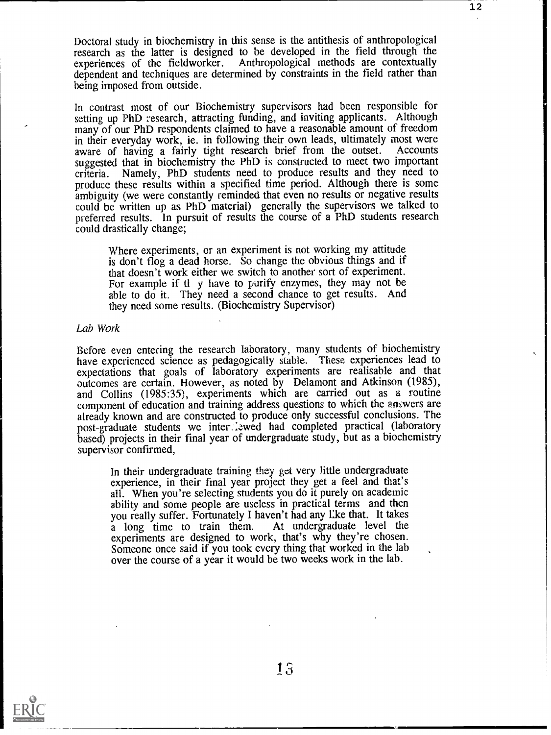Doctoral study in biochemistry in this sense is the antithesis of anthropological research as the latter is designed to be developed in the field through the experiences of the fieldworker. Anthropological methods are contextually dependent and techniques are determined by constraints in the field rather than being imposed from outside.

In contrast most of our Biochemistry supervisors had been responsible for setting up PhD research, attracting funding, and inviting applicants. Although many of our PhD respondents claimed to have a reasonable amount of freedom<br>in their everyday work, ie. in following their own leads, ultimately most were aware of having a fairly tight research brief from the outset. Accounts suggested that in biochemistry the PhD is constructed to meet two important criteria. Namely, PhD students need to produce results and they need to produce these results within a specified time period. Although there is some ambiguity (we were constantly reminded that even no results or negative results could be written up as PhD material) generally the supervisors we talked to preferred results. In pursuit of results the course of a PhD students research could drastically change;

Where experiments, or an experiment is not working my attitude is don't flog a dead horse. So change the obvious things and if that doesn't work either we switch to another sort of experiment. For example if tl y have to purify enzymes, they may not be able to do it. They need a second chance to get results. And they need some results. (Biochemistry Supervisor)

#### Lab Work

Before even entering the research laboratory, many students of biochemistry have experienced science as pedagogically stable. These experiences lead to expectations that goals of laboratory experiments are realisable and that outcomes are certain. However, as noted by Delamont and Atkinson (1985), and Collins (1985:35), experiments which are carried out as a routine component of education and training address questions to which the answers are already known and are constructed to produce only successful conclusions. The post-graduate students we inter.:zwed had completed practical (laboratory based) projects in their final year of undergraduate study, but as a biochemistry supervisor confirmed,

In their undergraduate training they get very little undergraduate experience, in their final year project they get a feel and that's all. When you're selecting students you do it purely on academic ability and some people are useless in practical terms and then you really suffer. Fortunately I haven't had any like that. It takes<br>a long time to train them. At undergraduate level the a long time to train them. experiments are designed to work, that's why they're chosen. Someone once said if you took every thing that worked in the lab over the course of a year it would be two weeks work in the lab.

ŧ,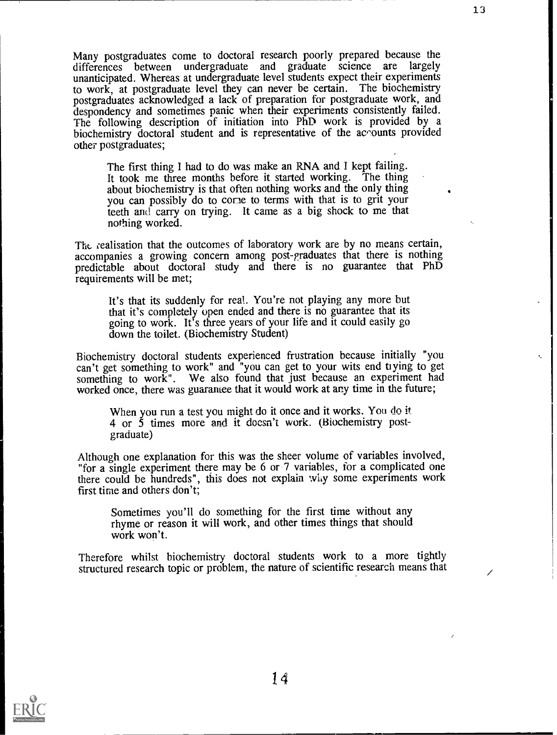Many postgraduates come to doctoral research poorly prepared because the differences between undergraduate and graduate science are largely unanticipated. Whereas at undergraduate level students expect their experiments to work, at postgraduate level they can never be certain. The biochemistry postgraduates acknowledged a lack of preparation for postgraduate work, and despondency and sometimes panic when their experiments consistently failed. The following description of initiation into PhD work is provided by a biochemistry doctoral student and is representative of the acrounts provided other postgraduates;

The first thing I had to do was make an RNA and I kept failing. It took me three months before it started working. The thing about biochemistry is that often nothing works and the only thing you can possibly do to cone to terms with that is to grit your teeth and carry on trying. It came as a big shock to me that nothing worked.

The realisation that the outcomes of laboratory work are by no means certain, accompanies a growing concern among post-graduates that there is nothing predictable about doctoral study and there is no guarantee that PhD requirements will be met;

It's that its suddenly for real. You're not playing any more but that it's completely open ended and there is no guarantee that its going to work. It's three years of your life and it could easily go down the toilet. (Biochemistry Student)

Biochemistry doctoral students experienced frustration because initially "you can't get something to work" and "you can get to your wits end ti ying to get something to work". We also found that just because an experiment had worked once, there was guaramee that it would work at any time in the future;

When you run a test you might do it once and it works. You do it 4 or 5 times more and it doesn't work. (Biochemistry postgraduate)

Although one explanation for this was the sheer volume of variables involved, "for a single experiment there may be 6 or 7 variables, for a complicated one there could be hundreds", this does not explain why some experiments work first time and others don't;

Sometimes you'll do something for the first time without any rhyme or reason it will work, and other times things that should work won't.

Therefore whilst biochemistry doctoral students work to a more tightly structured research topic or problem, the nature of scientific research means that



13

ŧ.

 $\overline{\phantom{a}}$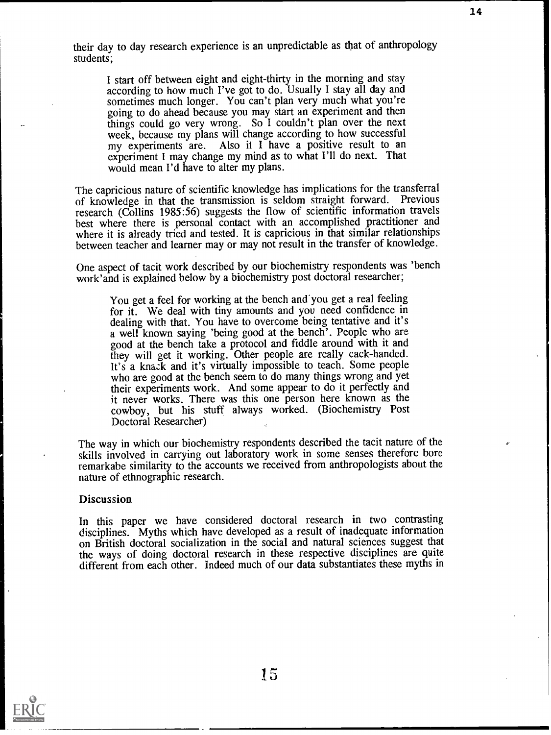their day to day research experience is an unpredictable as that of anthropology students;

I start off between eight and eight-thirty in the morning and stay according to how much I've got to do. Usually I stay all day and sometimes much longer. You can't plan very much what you're going to do ahead because you may start an experiment and then things could go very wrong. So I couldn't plan over the next week, because my plans will change according to how successful my experiments are. Also if I have a positive result to an experiment I may change my mind as to what I'll do next. That would mean I'd have to alter my plans.

The capricious nature of scientific knowledge has implications for the transferral of knowledge in that the transmission is seldom straight forward. Previous research (Collins 1985:56) suggests the flow of scientific information travels best where there is personal contact with an accomplished practitioner and where it is already tried and tested. It is capricious in that similar relationships between teacher and learner may or may not result in the transfer of knowledge.

One aspect of tacit work described by our biochemistry respondents was 'bench work'and is explained below by a biochemistry post doctoral researcher;

You get a feel for working at the bench and'you get a real feeling for it. We deal with tiny amounts and you need confidence in dealing with that. You have to overcome being tentative and it's a well known saying 'being good at the bench'. People who are good at the bench take a protocol and fiddle around with it and they will get it working. Other people are really cack-handed. It's a knack and it's virtually impossible to teach. Some people who are good at the bench seem to do many things wrong and yet their experiments work. And some appear to do it perfectly and it never works. There was this one person here known as the cowboy, but his stuff always worked. (Biochemistry Post Doctoral Researcher)

The way in which our biochemistry respondents described the tacit nature of the skills involved in carrying out laboratory work in some senses therefore bore remarkabe similarity to the accounts we received from anthropologists about the nature of ethnographic research.

#### Discussion

In this paper we have considered doctoral research in two contrasting disciplines. Myths which have developed as a result of inadequate information on British doctoral socialization in the social and natural sciences suggest that the ways of doing doctoral research in these respective disciplines are quite different from each other. Indeed much of our data substantiates these myths in

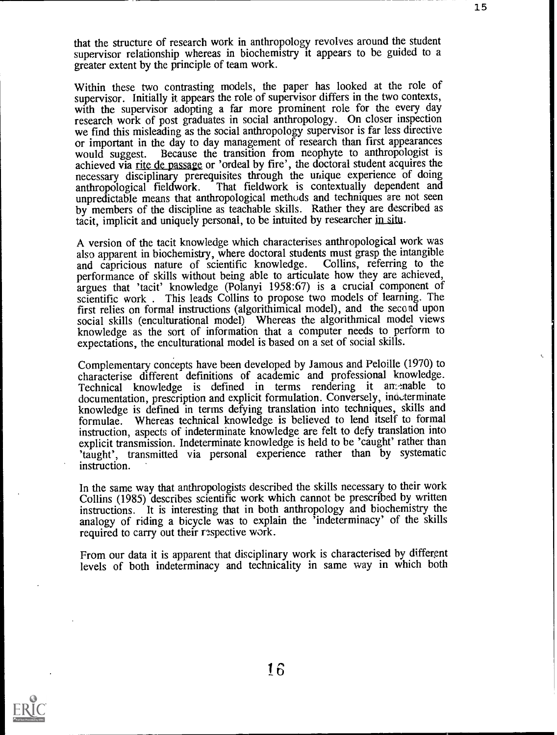that the structure of research work in anthropology revolves around the student supervisor relationship whereas in biochemistry it appears to be guided to a greater extent by the principle of team work.

15

Within these two contrasting models, the paper has looked at the role of supervisor. Initially it appears the role of supervisor differs in the two contexts, with the supervisor adopting a far more prominent role for the every day research work of post graduates in social anthropology. On closer inspection we find this misleading as the social anthropology supervisor is far less directive or important in the day to day management of research than first appearances<br>would suggest. Because the transition from neophyte to anthropologist is Because the transition from neophyte to anthropologist is achieved via rite de passage or 'ordeal by fire', the doctoral student acquires the necessary disciplinary prerequisites through the unique experience of doing anthropological fieldwork. That fieldwork is contextually dependent and That fieldwork is contextually dependent and unpredictable means that anthropological methods and techniques are not seen by members of the discipline as teachable skills. Rather they are described as tacit, implicit and uniquely personal, to be intuited by researcher in situ.

A version of the tacit knowledge which characterises anthropological work was also apparent in biochemistry, where doctoral students must grasp the intangible and capricious nature of scientific knowledge. Collins, referring to the performance of skills without being able to articulate how they are achieved, argues that 'tacit' knowledge (Polanyi 1958:67) is a crucial component of scientific work . This leads Collins to propose two models of learning. The first relies on formal instructions (algorithimical model), and the second upon social skills (enculturational model) Whereas the algorithmical model views knowledge as the sort of information that a computer needs to perform to expectations, the enculturational model is based on a set of social skills.

Complementary concepts have been developed by Jamous and Peloille (1970) to characterise different definitions of academic and professional knowledge. Technical knowledge is defined in terms rendering it am-mable to documentation, prescription and explicit formulation. Conversely, indeterminate knowledge is defined in terms defying translation into techniques, skills and formulae. Whereas technical knowledge is believed to lend itself to formal instruction, aspects of indeterminate knowledge are felt to defy translation into explicit transmission. Indeterminate knowledge is held to be 'caught' rather than 'taught', transmitted via personal experience rather than by systematic instruction.

In the same way that anthropologists described the skills necessary to their work Collins (1985) describes scientific work which cannot be prescribed by written instructions. It is interesting that in both anthropology and biochemistry the analogy of riding a bicycle was to explain the 'indeterminacy' of the skills required to carry out their respective work.

From our data it is apparent that disciplinary work is characterised by different levels of both indeterminacy and technicality in same way in which both

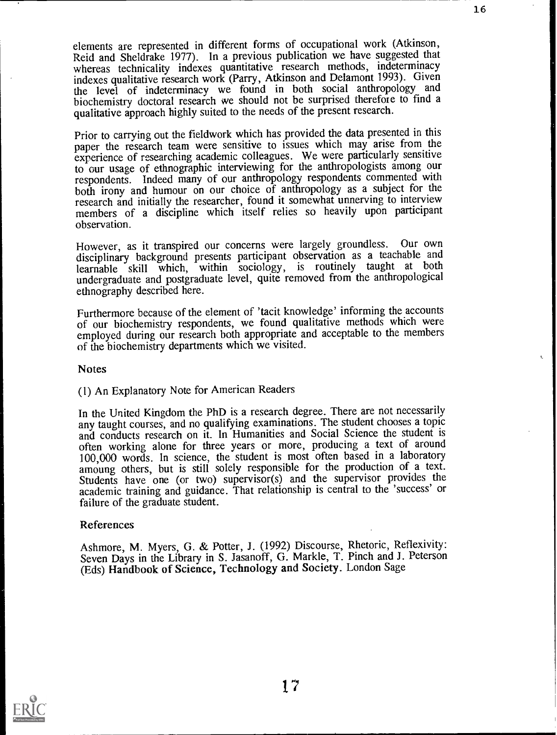elements are represented in different forms of occupational work (Atkinson, Reid and Sheldrake 1977). In a previous publication we have suggested that whereas technicality indexes quantitative research methods, indeterminacy indexes qualitative research work (Parry, Atkinson and Delamont 1993). Given the level of indeterminacy we found in both social anthropology and biochemistry doctoral research we should not be surprised therefore to find a qualitative approach highly suited to the needs of the present research.

Prior to carrying out the fieldwork which has provided the data presented in this paper the research team were sensitive to issues which may arise from the experience of researching academic colleagues. We were particularly sensitive to our usage of ethnographic interviewing for the anthropologists among our respondents. Indeed many of our anthropology respondents commented with both irony and humour on our choice of anthropology as a subject for the research and initially the researcher, found it somewhat unnerving to interview members of a discipline which itself relies so heavily upon participant observation.

However, as it transpired our concerns were largely groundless. Our own disciplinary background presents participant observation as a teachable and learnable skill which, within sociology, is routinely taught at both undergraduate and postgraduate level, quite removed from the anthropological ethnography described here.

Furthermore because of the element of 'tacit knowledge' informing the accounts of our biochemistry respondents, we found qualitative methods which were employed during our research both appropriate and acceptable to the members of the biochemistry departments which we visited.

### **Notes**

# (1) An Explanatory Note for American Readers

In the United Kingdom the PhD is a research degree. There are not necessarily any taught courses, and no qualifying examinations. The student chooses a topic and conducts research on it. In Humanities and Social Science the student is often working alone for three years or more, producing a text of around 100,000 words. In science, the student is most often based in a laboratory amoung others, but is still solely responsible for the production of a text. Students have one (or two) supervisor(s) and the supervisor provides the academic training and guidance. That relationship is central to the 'success' or failure of the graduate student.

#### References

Ashmore, M. Myers, G. & Potter, J. (1992) Discourse, Rhetoric, Reflexivity: Seven Days in the Library in S. Jasanoff, G. Markle, T. Pinch and J. Peterson (Eds) Handbook of Science, Technology and Society. London Sage



16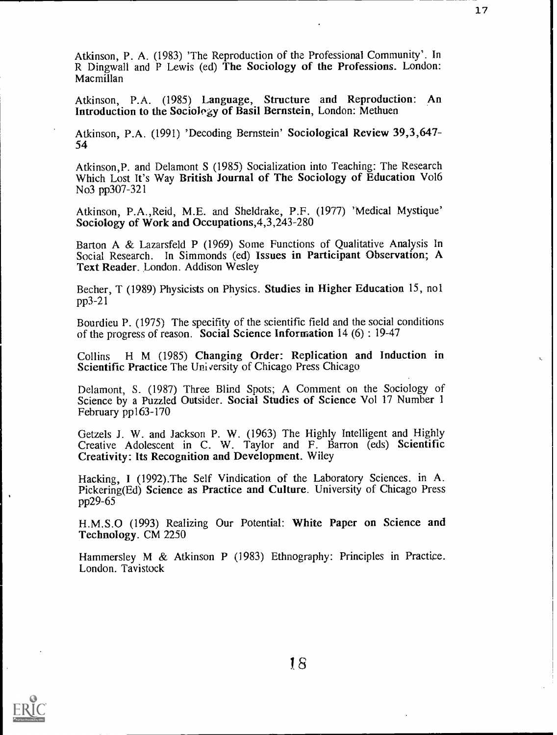Atkinson, P. A. (1983) 'The Reproduction of the Professional Community'. In R Dingwall and P Lewis (ed) The Sociology of the Professions. London: Macmillan

Atkinson, P.A. (1985) Language, Structure and Reproduction: An Introduction to the Sociolegy of Basil Bernstein, London: Methuen

Atkinson, P.A. (1991) 'Decoding Bernstein' Sociological Review 39,3,647- 54

Atkinson,P. and Delamont S (1985) Socialization into Teaching: The Research Which Lost It's Way British Journal of The Sociology of Education Vo16 No3 pp307-321

Atkinson, P.A.,Reid, M.E. and Sheldrake, P.F. (1977) 'Medical Mystique' Sociology of Work and Occupations,4,3,243-280

Barton A & Lazarsfeld P (1969) Some Functions of Qualitative Analysis In Social Research. In Simmonds (ed) Issues in Participant Observation; A Text Reader. London. Addison Wesley

Becher, T (1989) Physicists on Physics. Studies in Higher Education 15, nol pp3-21

Bourdieu P. (1975) The specifity of the scientific field and the social conditions of the progress of reason. Social Science Information 14 (6) : 19-47

Collins H M (1985) Changing Order: Replication and Induction in Scientific Practice The Uni versity of Chicago Press Chicago

Delamont, S. (1987) Three Blind Spots; A Comment on the Sociology of Science by a Puzzled Outsider. Social Studies of Science Vol 17 Number 1 February pp163-170

Getzels J. W. and Jackson P. W. (1963) The Highly Intelligent and Highly Creative Adolescent in C. W. Taylor and F. Barron (eds) Scientific Creativity: Its Recognition and Development. Wiley

Hacking, I (1992).The Self Vindication of the Laboratory Sciences. in A. Pickering(Ed) Science as Practice and Culture. University of Chicago Press pp29-65

H.M.S.O (1993) Realizing Our Potential: White Paper on Science and Technology. CM 2250

Hammersley M & Atkinson P (1983) Ethnography: Principles in Practice. London. Tavistock

 $\ddot{\cdot}$